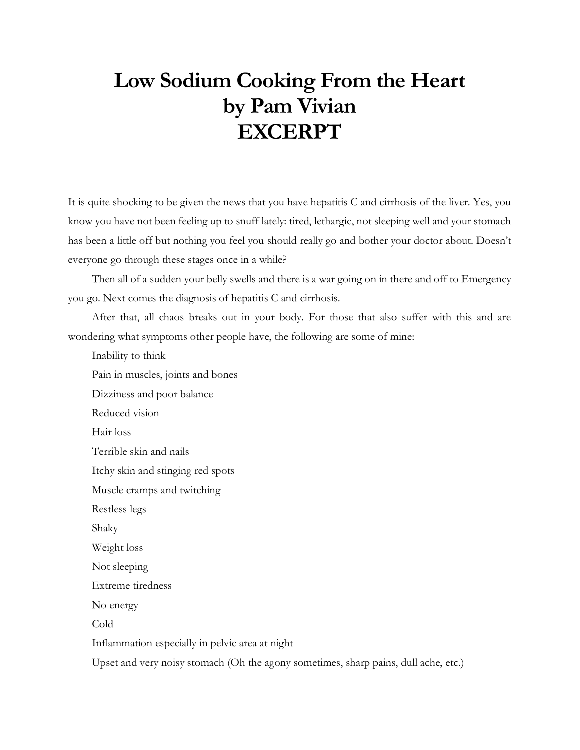## **Low Sodium Cooking From the Heart by Pam Vivian EXCERPT**

It is quite shocking to be given the news that you have hepatitis C and cirrhosis of the liver. Yes, you know you have not been feeling up to snuff lately: tired, lethargic, not sleeping well and your stomach has been a little off but nothing you feel you should really go and bother your doctor about. Doesn't everyone go through these stages once in a while?

Then all of a sudden your belly swells and there is a war going on in there and off to Emergency you go. Next comes the diagnosis of hepatitis C and cirrhosis.

After that, all chaos breaks out in your body. For those that also suffer with this and are wondering what symptoms other people have, the following are some of mine:

Inability to think

Pain in muscles, joints and bones

Dizziness and poor balance

Reduced vision

Hair loss

Terrible skin and nails

Itchy skin and stinging red spots

Muscle cramps and twitching

Restless legs

Shaky

Weight loss

Not sleeping

Extreme tiredness

No energy

Cold

Inflammation especially in pelvic area at night

Upset and very noisy stomach (Oh the agony sometimes, sharp pains, dull ache, etc.)